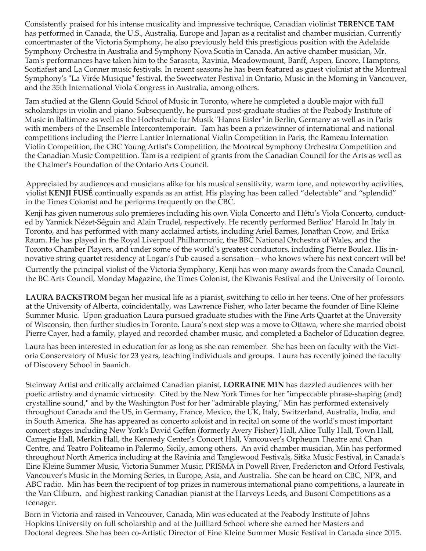Consistently praised for his intense musicality and impressive technique, Canadian violinist **TERENCE TAM** has performed in Canada, the U.S., Australia, Europe and Japan as a recitalist and chamber musician. Currently concertmaster of the Victoria Symphony, he also previously held this prestigious position with the Adelaide Symphony Orchestra in Australia and Symphony Nova Scotia in Canada. An active chamber musician, Mr. Tam's performances have taken him to the Sarasota, Ravinia, Meadowmount, Banff, Aspen, Encore, Hamptons, Scotiafest and La Conner music festivals. In recent seasons he has been featured as guest violinist at the Montreal Symphony's "La Virée Musique" festival, the Sweetwater Festival in Ontario, Music in the Morning in Vancouver, and the 35th International Viola Congress in Australia, among others.

Tam studied at the Glenn Gould School of Music in Toronto, where he completed a double major with full scholarships in violin and piano. Subsequently, he pursued post-graduate studies at the Peabody Institute of Music in Baltimore as well as the Hochschule fur Musik "Hanns Eisler" in Berlin, Germany as well as in Paris with members of the Ensemble Intercontemporain. Tam has been a prizewinner of international and national competitions including the Pierre Lantier International Violin Competition in Paris, the Rameau Internation Violin Competition, the CBC Young Artist's Competition, the Montreal Symphony Orchestra Competition and the Canadian Music Competition. Tam is a recipient of grants from the Canadian Council for the Arts as well as the Chalmer's Foundation of the Ontario Arts Council.

Appreciated by audiences and musicians alike for his musical sensitivity, warm tone, and noteworthy activities, violist **KENJI FUSÉ** continually expands as an artist. His playing has been called "delectable" and "splendid" in the Times Colonist and he performs frequently on the CBC.

Kenji has given numerous solo premieres including his own Viola Concerto and Hétu's Viola Concerto, conducted by Yannick Nézet-Séguin and Alain Trudel, respectively. He recently performed Berlioz' Harold In Italy in Toronto, and has performed with many acclaimed artists, including Ariel Barnes, Jonathan Crow, and Erika Raum. He has played in the Royal Liverpool Philharmonic, the BBC National Orchestra of Wales, and the Toronto Chamber Players, and under some of the world's greatest conductors, including Pierre Boulez. His innovative string quartet residency at Logan's Pub caused a sensation – who knows where his next concert will be! Currently the principal violist of the Victoria Symphony, Kenji has won many awards from the Canada Council, the BC Arts Council, Monday Magazine, the Times Colonist, the Kiwanis Festival and the University of Toronto.

**LAURA BACKSTROM** began her musical life as a pianist, switching to cello in her teens. One of her professors at the University of Alberta, coincidentally, was Lawrence Fisher, who later became the founder of Eine Kleine Summer Music. Upon graduation Laura pursued graduate studies with the Fine Arts Quartet at the University of Wisconsin, then further studies in Toronto. Laura's next step was a move to Ottawa, where she married oboist Pierre Cayer, had a family, played and recorded chamber music, and completed a Bachelor of Education degree.

Laura has been interested in education for as long as she can remember. She has been on faculty with the Victoria Conservatory of Music for 23 years, teaching individuals and groups. Laura has recently joined the faculty of Discovery School in Saanich.

Steinway Artist and critically acclaimed Canadian pianist, **LORRAINE MIN** has dazzled audiences with her poetic artistry and dynamic virtuosity. Cited by the New York Times for her "impeccable phrase-shaping (and) crystalline sound," and by the Washington Post for her "admirable playing," Min has performed extensively throughout Canada and the US, in Germany, France, Mexico, the UK, Italy, Switzerland, Australia, India, and in South America. She has appeared as concerto soloist and in recital on some of the world's most important concert stages including New York's David Geffen (formerly Avery Fisher) Hall, Alice Tully Hall, Town Hall, Carnegie Hall, Merkin Hall, the Kennedy Center's Concert Hall, Vancouver's Orpheum Theatre and Chan Centre, and Teatro Politeamo in Palermo, Sicily, among others. An avid chamber musician, Min has performed throughout North America including at the Ravinia and Tanglewood Festivals, Sitka Music Festival, in Canada's Eine Kleine Summer Music, Victoria Summer Music, PRISMA in Powell River, Fredericton and Orford Festivals, Vancouver's Music in the Morning Series, in Europe, Asia, and Australia. She can be heard on CBC, NPR, and ABC radio. Min has been the recipient of top prizes in numerous international piano competitions, a laureate in the Van Cliburn, and highest ranking Canadian pianist at the Harveys Leeds, and Busoni Competitions as a teenager.

Born in Victoria and raised in Vancouver, Canada, Min was educated at the Peabody Institute of Johns Hopkins University on full scholarship and at the Juilliard School where she earned her Masters and Doctoral degrees. She has been co-Artistic Director of Eine Kleine Summer Music Festival in Canada since 2015.